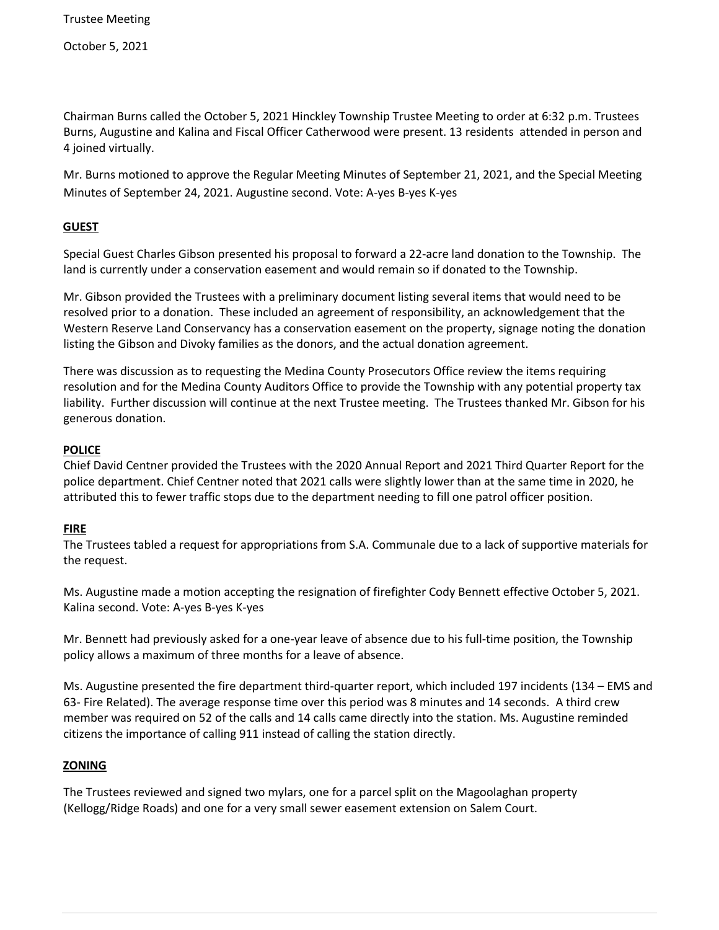October 5, 2021

Chairman Burns called the October 5, 2021 Hinckley Township Trustee Meeting to order at 6:32 p.m. Trustees Burns, Augustine and Kalina and Fiscal Officer Catherwood were present. 13 residents attended in person and 4 joined virtually.

Mr. Burns motioned to approve the Regular Meeting Minutes of September 21, 2021, and the Special Meeting Minutes of September 24, 2021. Augustine second. Vote: A-yes B-yes K-yes

## **GUEST**

Special Guest Charles Gibson presented his proposal to forward a 22-acre land donation to the Township. The land is currently under a conservation easement and would remain so if donated to the Township.

Mr. Gibson provided the Trustees with a preliminary document listing several items that would need to be resolved prior to a donation. These included an agreement of responsibility, an acknowledgement that the Western Reserve Land Conservancy has a conservation easement on the property, signage noting the donation listing the Gibson and Divoky families as the donors, and the actual donation agreement.

There was discussion as to requesting the Medina County Prosecutors Office review the items requiring resolution and for the Medina County Auditors Office to provide the Township with any potential property tax liability. Further discussion will continue at the next Trustee meeting. The Trustees thanked Mr. Gibson for his generous donation.

#### **POLICE**

Chief David Centner provided the Trustees with the 2020 Annual Report and 2021 Third Quarter Report for the police department. Chief Centner noted that 2021 calls were slightly lower than at the same time in 2020, he attributed this to fewer traffic stops due to the department needing to fill one patrol officer position.

# **FIRE**

The Trustees tabled a request for appropriations from S.A. Communale due to a lack of supportive materials for the request.

Ms. Augustine made a motion accepting the resignation of firefighter Cody Bennett effective October 5, 2021. Kalina second. Vote: A-yes B-yes K-yes

Mr. Bennett had previously asked for a one-year leave of absence due to his full-time position, the Township policy allows a maximum of three months for a leave of absence.

Ms. Augustine presented the fire department third-quarter report, which included 197 incidents (134 – EMS and 63- Fire Related). The average response time over this period was 8 minutes and 14 seconds. A third crew member was required on 52 of the calls and 14 calls came directly into the station. Ms. Augustine reminded citizens the importance of calling 911 instead of calling the station directly.

# **ZONING**

The Trustees reviewed and signed two mylars, one for a parcel split on the Magoolaghan property (Kellogg/Ridge Roads) and one for a very small sewer easement extension on Salem Court.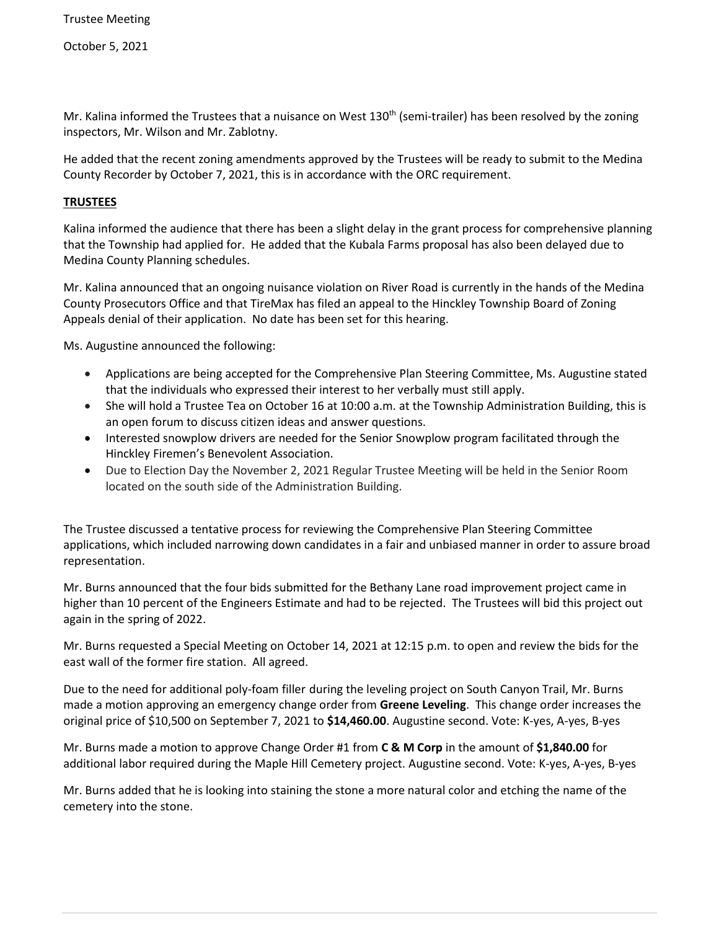October 5, 2021

Mr. Kalina informed the Trustees that a nuisance on West 130<sup>th</sup> (semi-trailer) has been resolved by the zoning inspectors, Mr. Wilson and Mr. Zablotny.

He added that the recent zoning amendments approved by the Trustees will be ready to submit to the Medina County Recorder by October 7, 2021, this is in accordance with the ORC requirement.

### **TRUSTEES**

Kalina informed the audience that there has been a slight delay in the grant process for comprehensive planning that the Township had applied for. He added that the Kubala Farms proposal has also been delayed due to Medina County Planning schedules.

Mr. Kalina announced that an ongoing nuisance violation on River Road is currently in the hands of the Medina County Prosecutors Office and that TireMax has filed an appeal to the Hinckley Township Board of Zoning Appeals denial of their application. No date has been set for this hearing.

Ms. Augustine announced the following:

- Applications are being accepted for the Comprehensive Plan Steering Committee, Ms. Augustine stated that the individuals who expressed their interest to her verbally must still apply.
- She will hold a Trustee Tea on October 16 at 10:00 a.m. at the Township Administration Building, this is an open forum to discuss citizen ideas and answer questions.
- Interested snowplow drivers are needed for the Senior Snowplow program facilitated through the Hinckley Firemen's Benevolent Association.
- Due to Election Day the November 2, 2021 Regular Trustee Meeting will be held in the Senior Room located on the south side of the Administration Building.

The Trustee discussed a tentative process for reviewing the Comprehensive Plan Steering Committee applications, which included narrowing down candidates in a fair and unbiased manner in order to assure broad representation.

Mr. Burns announced that the four bids submitted for the Bethany Lane road improvement project came in higher than 10 percent of the Engineers Estimate and had to be rejected. The Trustees will bid this project out again in the spring of 2022.

Mr. Burns requested a Special Meeting on October 14, 2021 at 12:15 p.m. to open and review the bids for the east wall of the former fire station. All agreed.

Due to the need for additional poly-foam filler during the leveling project on South Canyon Trail, Mr. Burns made a motion approving an emergency change order from **Greene Leveling**. This change order increases the original price of \$10,500 on September 7, 2021 to **\$14,460.00**. Augustine second. Vote: K-yes, A-yes, B-yes

Mr. Burns made a motion to approve Change Order #1 from **C & M Corp** in the amount of **\$1,840.00** for additional labor required during the Maple Hill Cemetery project. Augustine second. Vote: K-yes, A-yes, B-yes

Mr. Burns added that he is looking into staining the stone a more natural color and etching the name of the cemetery into the stone.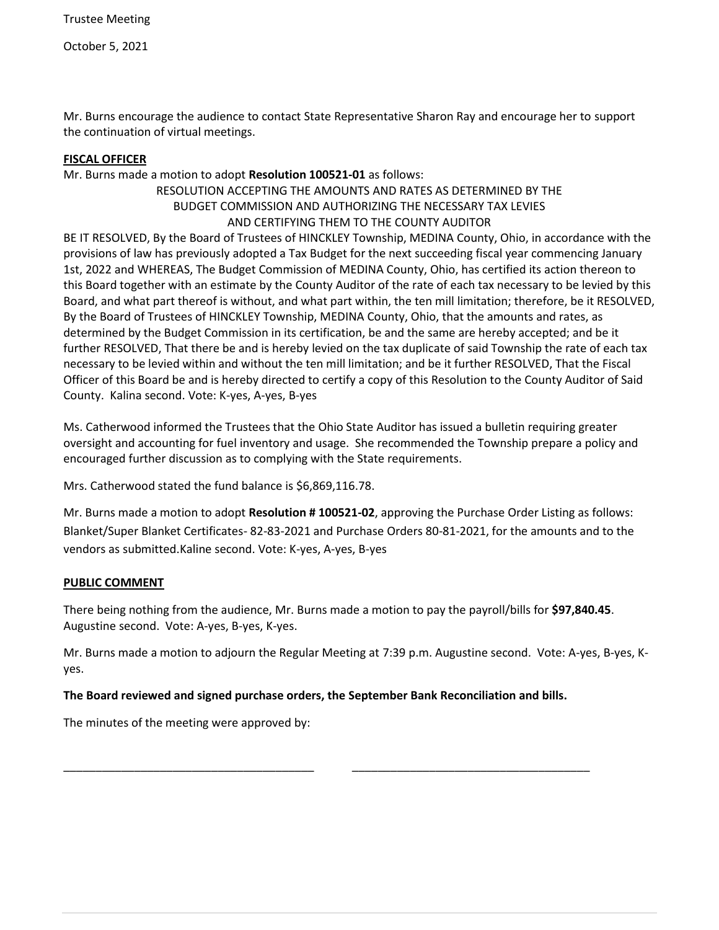October 5, 2021

Mr. Burns encourage the audience to contact State Representative Sharon Ray and encourage her to support the continuation of virtual meetings.

### **FISCAL OFFICER**

## Mr. Burns made a motion to adopt **Resolution 100521-01** as follows:

## RESOLUTION ACCEPTING THE AMOUNTS AND RATES AS DETERMINED BY THE BUDGET COMMISSION AND AUTHORIZING THE NECESSARY TAX LEVIES AND CERTIFYING THEM TO THE COUNTY AUDITOR

BE IT RESOLVED, By the Board of Trustees of HINCKLEY Township, MEDINA County, Ohio, in accordance with the provisions of law has previously adopted a Tax Budget for the next succeeding fiscal year commencing January 1st, 2022 and WHEREAS, The Budget Commission of MEDINA County, Ohio, has certified its action thereon to this Board together with an estimate by the County Auditor of the rate of each tax necessary to be levied by this Board, and what part thereof is without, and what part within, the ten mill limitation; therefore, be it RESOLVED, By the Board of Trustees of HINCKLEY Township, MEDINA County, Ohio, that the amounts and rates, as determined by the Budget Commission in its certification, be and the same are hereby accepted; and be it further RESOLVED, That there be and is hereby levied on the tax duplicate of said Township the rate of each tax necessary to be levied within and without the ten mill limitation; and be it further RESOLVED, That the Fiscal Officer of this Board be and is hereby directed to certify a copy of this Resolution to the County Auditor of Said County. Kalina second. Vote: K-yes, A-yes, B-yes

Ms. Catherwood informed the Trustees that the Ohio State Auditor has issued a bulletin requiring greater oversight and accounting for fuel inventory and usage. She recommended the Township prepare a policy and encouraged further discussion as to complying with the State requirements.

Mrs. Catherwood stated the fund balance is \$6,869,116.78.

Mr. Burns made a motion to adopt **Resolution # 100521-02**, approving the Purchase Order Listing as follows: Blanket/Super Blanket Certificates- 82-83-2021 and Purchase Orders 80-81-2021, for the amounts and to the vendors as submitted.Kaline second. Vote: K-yes, A-yes, B-yes

#### **PUBLIC COMMENT**

There being nothing from the audience, Mr. Burns made a motion to pay the payroll/bills for **\$97,840.45**. Augustine second. Vote: A-yes, B-yes, K-yes.

Mr. Burns made a motion to adjourn the Regular Meeting at 7:39 p.m. Augustine second. Vote: A-yes, B-yes, Kyes.

# **The Board reviewed and signed purchase orders, the September Bank Reconciliation and bills.**

\_\_\_\_\_\_\_\_\_\_\_\_\_\_\_\_\_\_\_\_\_\_\_\_\_\_\_\_\_\_\_\_\_\_\_\_\_\_\_ \_\_\_\_\_\_\_\_\_\_\_\_\_\_\_\_\_\_\_\_\_\_\_\_\_\_\_\_\_\_\_\_\_\_\_\_\_

The minutes of the meeting were approved by: